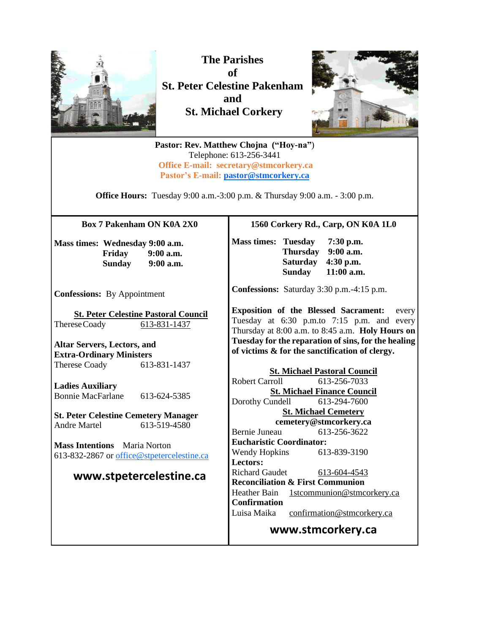

**The Parishes of St. Peter Celestine Pakenham and St. Michael Corkery**



**Pastor: Rev. Matthew Chojna ("Hoy-na"**) Telephone: 613-256-3441 **Office E-mail: secretary@stmcorkery.ca Pastor's E-mail: [pastor@stmcorkery.ca](mailto:pastor@stmcorkery.ca)**

**Office Hours:** Tuesday 9:00 a.m.-3:00 p.m. & Thursday 9:00 a.m. - 3:00 p.m.

**Box 7 Pakenham ON K0A 2X0**

**Mass times: Wednesday 9:00 a.m. Friday 9:00 a.m. Sunday 9:00 a.m.**

**Confessions:** By Appointment

**St. Peter Celestine Pastoral Council** ThereseCoady 613-831-1437

**Altar Servers, Lectors, and Extra-Ordinary Ministers** Therese Coady 613-831-1437

**Ladies Auxiliary** Bonnie MacFarlane 613-624-5385

**St. Peter Celestine Cemetery Manager** Andre Martel 613-519-4580

**Mass Intentions** Maria Norton 613-832-2867 or [office@stpetercelestine.ca](mailto:office@stpetercelestine.ca)

#### **www.stpetercelestine.ca**

#### **1560 Corkery Rd., Carp, ON K0A 1L0**

**Mass times: Tuesday 7:30 p.m. Thursday 9:00 a.m. Saturday 4:30 p.m. Sunday 11:00 a.m.**

**Confessions:** Saturday 3:30 p.m.-4:15 p.m.

**Exposition of the Blessed Sacrament:** every Tuesday at 6:30 p.m.to 7:15 p.m. and every Thursday at 8:00 a.m. to 8:45 a.m. **Holy Hours on Tuesday for the reparation of sins, for the healing of victims & for the sanctification of clergy.**

**St. Michael Pastoral Council** Robert Carroll 613-256-7033 **St. Michael Finance Council** Dorothy Cundell 613-294-7600 **St. Michael Cemetery cemetery@stmcorkery.ca** Bernie Juneau 613-256-3622 **Eucharistic Coordinator:**  Wendy Hopkins 613-839-3190 **Lectors:**  Richard Gaudet [613-604-4543](tel:613-604-4543) **Reconciliation & First Communion**  Heather Bain 1stcommunion@stmcorkery.ca **Confirmation** Luisa Maika confirmation@stmcorkery.ca

**www.stmcorkery.ca**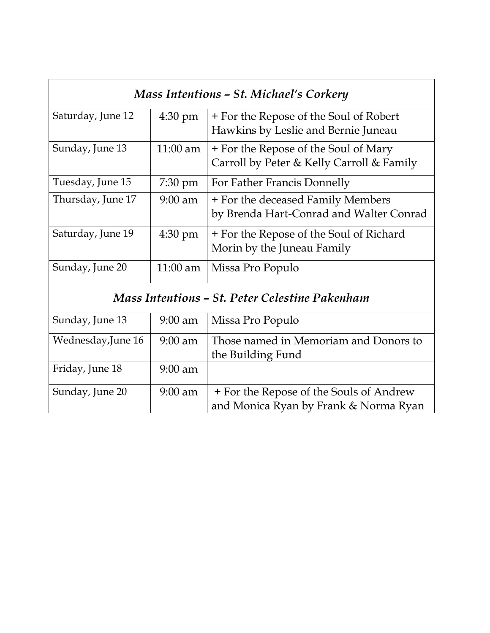| Mass Intentions - St. Michael's Corkery        |                   |                                           |
|------------------------------------------------|-------------------|-------------------------------------------|
| Saturday, June 12                              | $4:30 \text{ pm}$ | + For the Repose of the Soul of Robert    |
|                                                |                   | Hawkins by Leslie and Bernie Juneau       |
| Sunday, June 13                                | $11:00$ am        | + For the Repose of the Soul of Mary      |
|                                                |                   | Carroll by Peter & Kelly Carroll & Family |
| Tuesday, June 15                               | $7:30 \text{ pm}$ | For Father Francis Donnelly               |
| Thursday, June 17                              | $9:00$ am         | + For the deceased Family Members         |
|                                                |                   | by Brenda Hart-Conrad and Walter Conrad   |
| Saturday, June 19                              | 4:30 pm           | + For the Repose of the Soul of Richard   |
|                                                |                   | Morin by the Juneau Family                |
| Sunday, June 20                                | $11:00$ am        | Missa Pro Populo                          |
| Mass Intentions - St. Peter Celestine Pakenham |                   |                                           |
| Sunday, June 13                                | $9:00$ am         | Missa Pro Populo                          |
| Wednesday, June 16                             | $9:00$ am         | Those named in Memoriam and Donors to     |
|                                                |                   | the Building Fund                         |
| Friday, June 18                                | $9:00$ am         |                                           |
| Sunday, June 20                                | $9:00$ am         | + For the Repose of the Souls of Andrew   |
|                                                |                   | and Monica Ryan by Frank & Norma Ryan     |